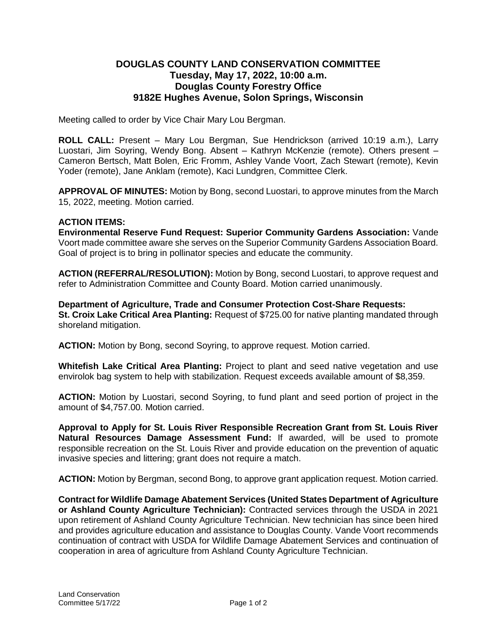## **DOUGLAS COUNTY LAND CONSERVATION COMMITTEE Tuesday, May 17, 2022, 10:00 a.m. Douglas County Forestry Office 9182E Hughes Avenue, Solon Springs, Wisconsin**

Meeting called to order by Vice Chair Mary Lou Bergman.

**ROLL CALL:** Present – Mary Lou Bergman, Sue Hendrickson (arrived 10:19 a.m.), Larry Luostari, Jim Soyring, Wendy Bong. Absent – Kathryn McKenzie (remote). Others present – Cameron Bertsch, Matt Bolen, Eric Fromm, Ashley Vande Voort, Zach Stewart (remote), Kevin Yoder (remote), Jane Anklam (remote), Kaci Lundgren, Committee Clerk.

**APPROVAL OF MINUTES:** Motion by Bong, second Luostari, to approve minutes from the March 15, 2022, meeting. Motion carried.

## **ACTION ITEMS:**

**Environmental Reserve Fund Request: Superior Community Gardens Association:** Vande Voort made committee aware she serves on the Superior Community Gardens Association Board. Goal of project is to bring in pollinator species and educate the community.

**ACTION (REFERRAL/RESOLUTION):** Motion by Bong, second Luostari, to approve request and refer to Administration Committee and County Board. Motion carried unanimously.

**Department of Agriculture, Trade and Consumer Protection Cost-Share Requests: St. Croix Lake Critical Area Planting:** Request of \$725.00 for native planting mandated through shoreland mitigation.

**ACTION:** Motion by Bong, second Soyring, to approve request. Motion carried.

**Whitefish Lake Critical Area Planting:** Project to plant and seed native vegetation and use envirolok bag system to help with stabilization. Request exceeds available amount of \$8,359.

**ACTION:** Motion by Luostari, second Soyring, to fund plant and seed portion of project in the amount of \$4,757.00. Motion carried.

**Approval to Apply for St. Louis River Responsible Recreation Grant from St. Louis River Natural Resources Damage Assessment Fund:** If awarded, will be used to promote responsible recreation on the St. Louis River and provide education on the prevention of aquatic invasive species and littering; grant does not require a match.

**ACTION:** Motion by Bergman, second Bong, to approve grant application request. Motion carried.

**Contract for Wildlife Damage Abatement Services (United States Department of Agriculture or Ashland County Agriculture Technician):** Contracted services through the USDA in 2021 upon retirement of Ashland County Agriculture Technician. New technician has since been hired and provides agriculture education and assistance to Douglas County. Vande Voort recommends continuation of contract with USDA for Wildlife Damage Abatement Services and continuation of cooperation in area of agriculture from Ashland County Agriculture Technician.